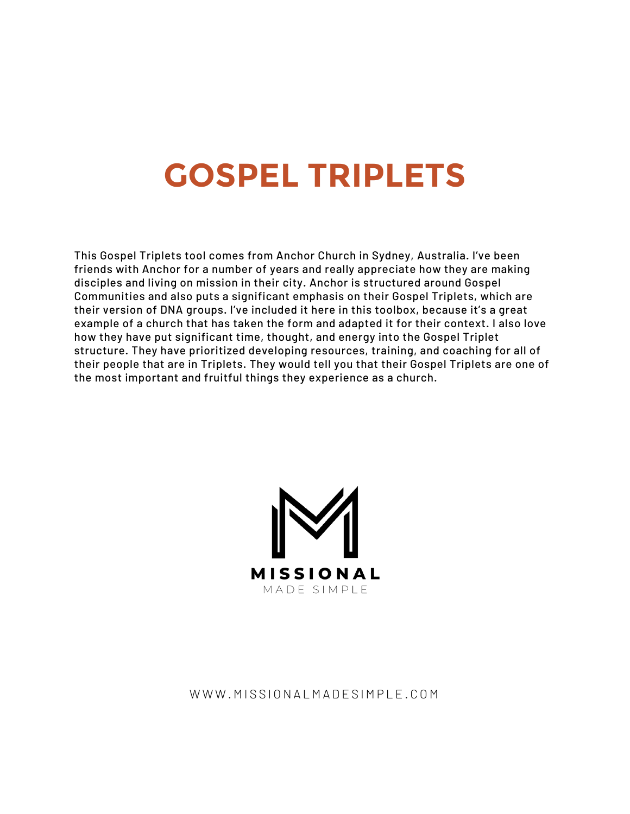# **GOSPEL TRIPLETS**

This Gospel Triplets tool comes from Anchor Church in Sydney, Australia. I've been friends with Anchor for a number of years and really appreciate how they are making disciples and living on mission in their city. Anchor is structured around Gospel Communities and also puts a significant emphasis on their Gospel Triplets, which are their version of DNA groups. I've included it here in this toolbox, because it's a great example of a church that has taken the form and adapted it for their context. I also love how they have put significant time, thought, and energy into the Gospel Triplet structure. They have prioritized developing resources, training, and coaching for all of their people that are in Triplets. They would tell you that their Gospel Triplets are one of the most important and fruitful things they experience as a church.



### WWW.MISSIONALMADESIMPLE.COM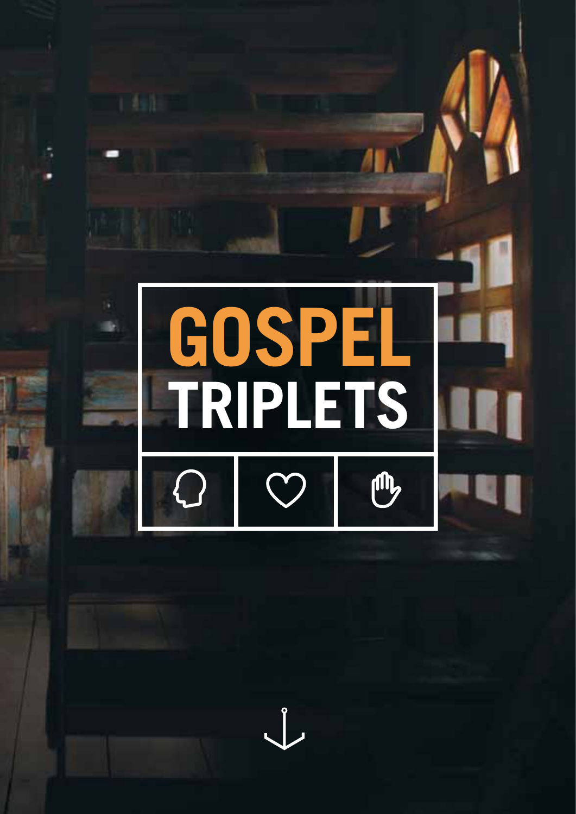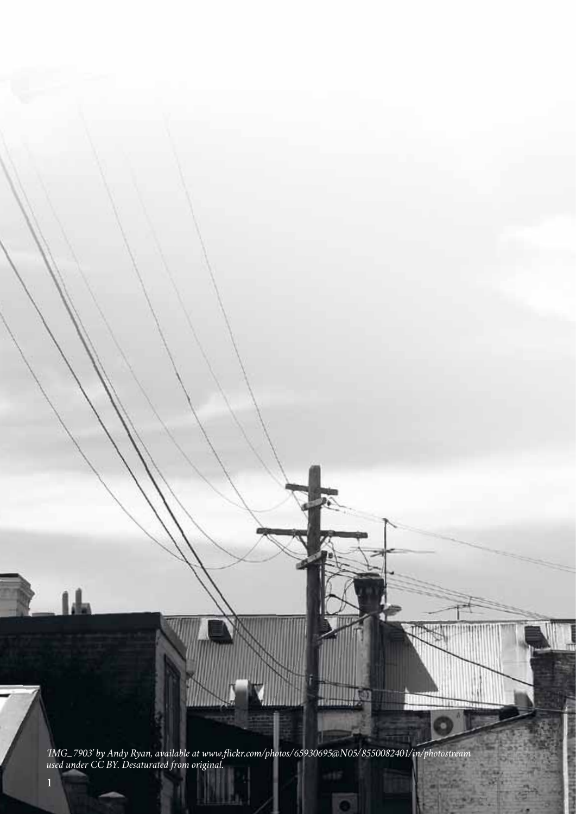*'IMG\_7903' by Andy Ryan, available at www.fickr.com/photos/65930695@N05/8550082401/in/photostream used under CC BY. Desaturated from original.*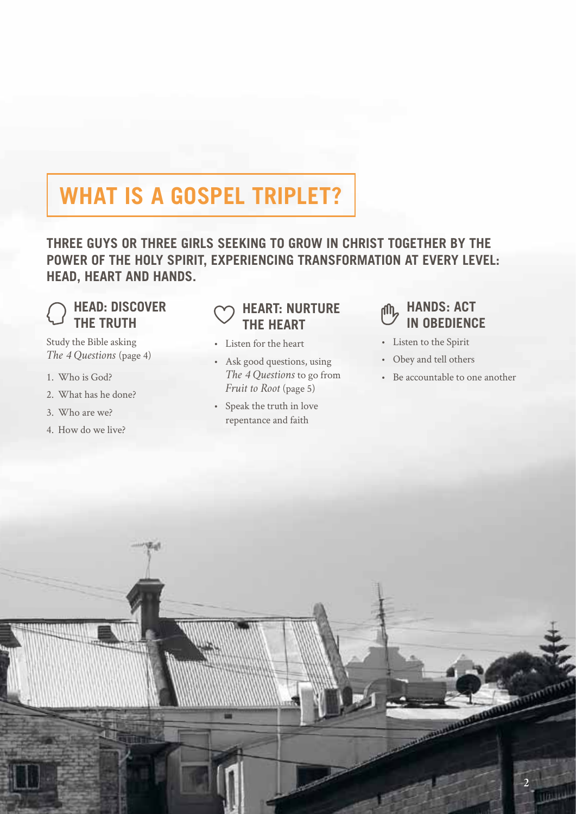## **WHAT IS A GOSPEL TRIPLET?**

**THREE GUYS OR THREE GIRLS SEEKING TO GROW IN CHRIST TOGETHER BY THE POWER OF THE HOLY SPIRIT, EXPERIENCING TRANSFORMATION AT EVERY LEVEL: HEAD, HEART AND HANDS.**

#### **HEAD: DISCOVER THE TRUTH**

Study the Bible asking *The 4 Questions* (page 4)

- 1. Who is God?
- 2. What has he done?
- 3. Who are we?
- 4. How do we live?

### **HEART: NURTURE THE HEART**

- • Listen for the heart
- • Ask good questions, using *The 4 Questions* to go from *Fruit to Root* (page 5)
- • Speak the truth in love repentance and faith

#### **HANDS: ACT** rffn. **IN OBEDIENCE**

- • Listen to the Spirit
- • Obey and tell others
- • Be accountable to one another

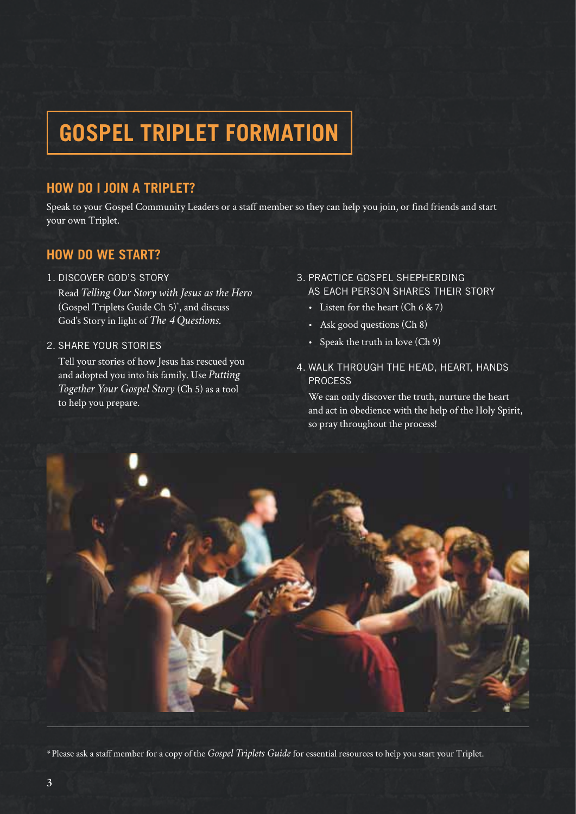## **GOSPEL TRIPLET FORMATION**

### **HOW DO I JOIN A TRIPLET?**

Speak to your Gospel Community Leaders or a staff member so they can help you join, or find friends and start your own Triplet.

#### **HOW DO WE START?**

1. DISCOVER GOD'S STORY

Read *Telling Our Story with Jesus as the Hero*  (Gospel Triplets Guide Ch 5)\* , and discuss God's Story in light of *The 4 Questions.*

#### 2. SHARE YOUR STORIES

Tell your stories of how Jesus has rescued you and adopted you into his family. Use *Putting Together Your Gospel Story* (Ch 5) as a tool to help you prepare.

#### 3. PRACTICE GOSPEL SHEPHERDING AS EACH PERSON SHARES THEIR STORY

- Listen for the heart  $(Ch 6 & 7)$
- Ask good questions (Ch 8)
- • Speak the truth in love (Ch 9)
- 4. WALK THROUGH THE HEAD, HEART, HANDS PROCESS

We can only discover the truth, nurture the heart and act in obedience with the help of the Holy Spirit, so pray throughout the process!



\*Please ask a staff member for a copy of the *Gospel Triplets Guide* for essential resources to help you start your Triplet.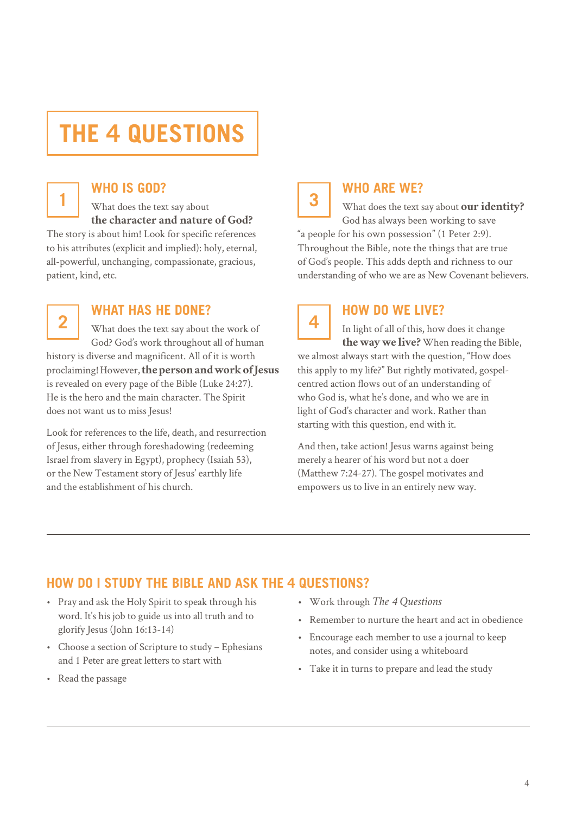## **THE 4 QUESTIONS**



#### **WHO IS GOD?**

1 **3** What does the text say about **3 the character and nature of God?**

The story is about him! Look for specific references to his attributes (explicit and implied): holy, eternal, all-powerful, unchanging, compassionate, gracious, patient, kind, etc.



### **WHAT HAS HE DONE?**

What does the text say about the work of God? God's work throughout all of human history is diverse and magnificent. All of it is worth proclaiming! However, **the person and work of Jesus** is revealed on every page of the Bible (Luke 24:27). He is the hero and the main character. The Spirit does not want us to miss Jesus!

Look for references to the life, death, and resurrection of Jesus, either through foreshadowing (redeeming Israel from slavery in Egypt), prophecy (Isaiah 53), or the New Testament story of Jesus' earthly life and the establishment of his church.



#### **WHO ARE WE?**

What does the text say about **our identity?** God has always been working to save "a people for his own possession" (1 Peter 2:9). Throughout the Bible, note the things that are true of God's people. This adds depth and richness to our understanding of who we are as New Covenant believers.



### **HOW DO WE LIVE?**

In light of all of this, how does it change **the way we live?** When reading the Bible, we almost always start with the question, "How does this apply to my life?" But rightly motivated, gospelcentred action flows out of an understanding of who God is, what he's done, and who we are in light of God's character and work. Rather than starting with this question, end with it.

And then, take action! Jesus warns against being merely a hearer of his word but not a doer (Matthew 7:24-27). The gospel motivates and empowers us to live in an entirely new way.

### **HOW DO I STUDY THE BIBLE AND ASK THE 4 QUESTIONS?**

- • Pray and ask the Holy Spirit to speak through his word. It's his job to guide us into all truth and to glorify Jesus (John 16:13-14)
- • Choose a section of Scripture to study Ephesians and 1 Peter are great letters to start with
- • Read the passage
- • Work through *The 4 Questions*
- • Remember to nurture the heart and act in obedience
- • Encourage each member to use a journal to keep notes, and consider using a whiteboard
- • Take it in turns to prepare and lead the study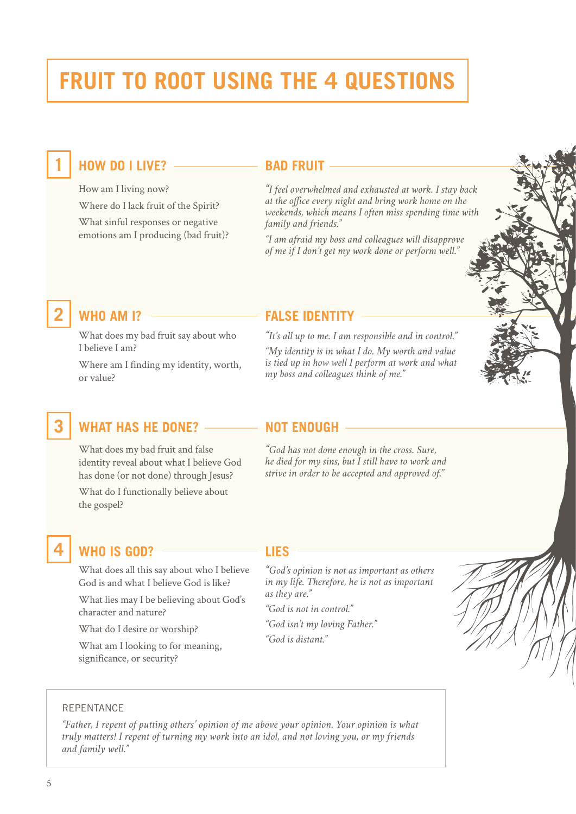## **FRUIT TO ROOT USING THE 4 QUESTIONS**

### **11 BAD FRUIT**

How am I living now? Where do I lack fruit of the Spirit? What sinful responses or negative emotions am I producing (bad fruit)?

*"I feel overwhelmed and exhausted at work. I stay back*  at the office every night and bring work home on the *weekends, which means I often miss spending time with family and friends."*

*"I am afraid my boss and colleagues will disapprove of me if I don't get my work done or perform well."*

What does my bad fruit say about who I believe I am?

Where am I finding my identity, worth, or value?

#### **2 WHO AM I? FALSE IDENTITY**

*"It's all up to me. I am responsible and in control."*

*"My identity is in what I do. My worth and value is tied up in how well I perform at work and what my boss and colleagues think of me."*

### **3 WHAT HAS HE DONE? NOT ENOUGH**

What does my bad fruit and false identity reveal about what I believe God has done (or not done) through Jesus? What do I functionally believe about the gospel?

*"God has not done enough in the cross. Sure, he died for my sins, but I still have to work and strive in order to be accepted and approved of."*

### **4 WHO IS GOD? LIES**

What does all this say about who I believe God is and what I believe God is like?

What lies may I be believing about God's character and nature?

What do I desire or worship?

What am I looking to for meaning, significance, or security?

*"God's opinion is not as important as others in my life. Therefore, he is not as important as they are."*

*"God is not in control."*

*"God isn't my loving Father." "God is distant."*



#### REPENTANCE

*"Father, I repent of putting others' opinion of me above your opinion. Your opinion is what truly matters! I repent of turning my work into an idol, and not loving you, or my friends and family well."*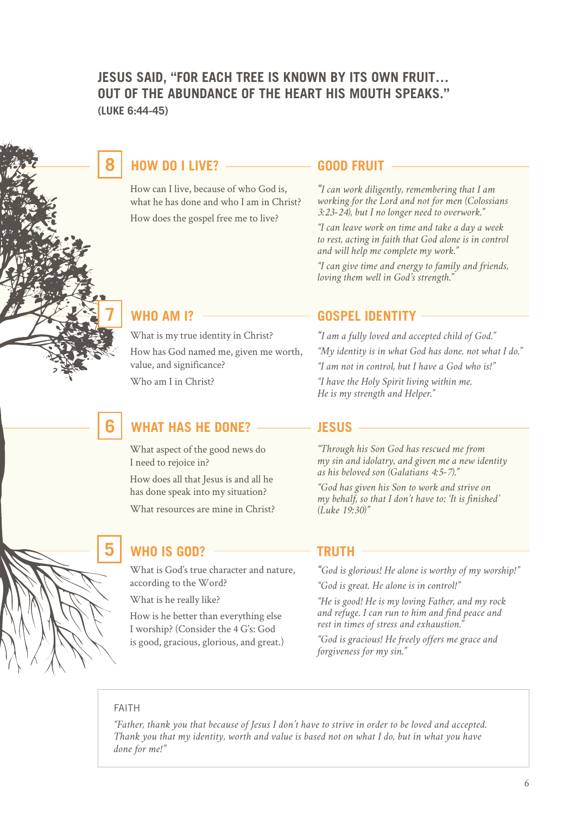#### **JESUS SAID, "FOR EACH TREE IS KNOWN BY ITS OWN FRUIT… OUT OF THE ABUNDANCE OF THE HEART HIS MOUTH SPEAKS." (LUKE 6:44-45)**

### **800D FRUIT BOOD FRUIT**

How can I live, because of who God is, what he has done and who I am in Christ? How does the gospel free me to live?

*"I can work diligently, remembering that I am working for the Lord and not for men (Colossians 3:23-24), but I no longer need to overwork."* 

*"I can leave work on time and take a day a week to rest, acting in faith that God alone is in control and will help me complete my work."*

*"I can give time and energy to family and friends, loving them well in God's strength."*

What is my true identity in Christ?

How has God named me, given me worth, value, and significance?

Who am I in Christ?

### **6 WHAT HAS HE DONE? JESUS**

What aspect of the good news do I need to rejoice in?

How does all that Jesus is and all he has done speak into my situation?

What resources are mine in Christ?

## **WHO** IS GOD?  $\longrightarrow$  **TRUTH**

What is God's true character and nature, according to the Word?

What is he really like?

How is he better than everything else I worship? (Consider the 4 G's: God is good, gracious, glorious, and great.)

#### **7 WHO AM I? GOSPEL IDENTITY**

*"I am a fully loved and accepted child of God." "My identity is in what God has done, not what I do." "I am not in control, but I have a God who is!"*

*"I have the Holy Spirit living within me. He is my strength and Helper."*

*"Through his Son God has rescued me from my sin and idolatry, and given me a new identity as his beloved son (Galatians 4:5-7)."*

*"God has given his Son to work and strive on my behalf, so that I don't have to: 'It is fnished' (Luke 19:30)"*

*"God is glorious! He alone is worthy of my worship!"*

*"God is great. He alone is in control!"*

*"He is good! He is my loving Father, and my rock and refuge. I can run to him and fnd peace and rest in times of stress and exhaustion."*

*"God is gracious! He freely offers me grace and forgiveness for my sin."*

#### FAITH

*"Father, thank you that because of Jesus I don't have to strive in order to be loved and accepted. Thank you that my identity, worth and value is based not on what I do, but in what you have done for me!"*